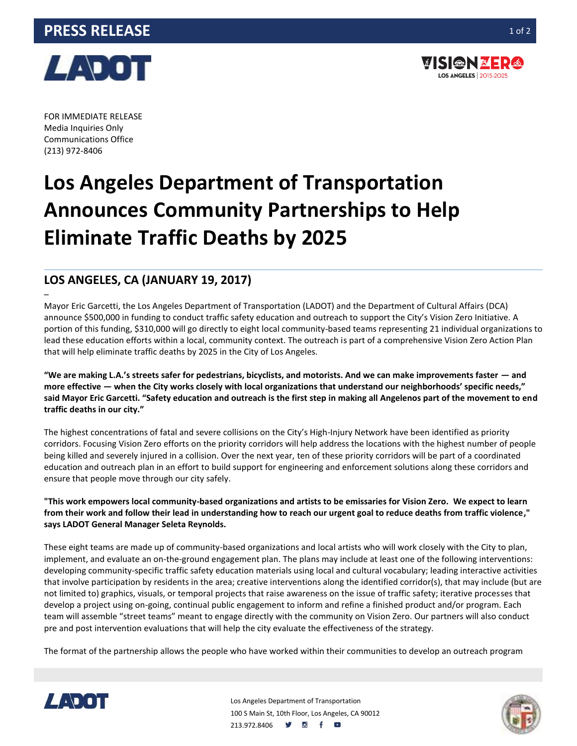



FOR IMMEDIATE RELEASE Media Inquiries Only Communications Office (213) 972-8406

–

## **Los Angeles Department of Transportation Announces Community Partnerships to Help Eliminate Traffic Deaths by 2025**

## **LOS ANGELES, CA (JANUARY 19, 2017)**

Mayor Eric Garcetti, the Los Angeles Department of Transportation (LADOT) and the Department of Cultural Affairs (DCA) announce \$500,000 in funding to conduct traffic safety education and outreach to support the City's Vision Zero Initiative. A portion of this funding, \$310,000 will go directly to eight local community-based teams representing 21 individual organizations to lead these education efforts within a local, community context. The outreach is part of a comprehensive Vision Zero Action Plan that will help eliminate traffic deaths by 2025 in the City of Los Angeles.

**"We are making L.A.'s streets safer for pedestrians, bicyclists, and motorists. And we can make improvements faster — and more effective — when the City works closely with local organizations that understand our neighborhoods' specific needs," said Mayor Eric Garcetti. "Safety education and outreach is the first step in making all Angelenos part of the movement to end traffic deaths in our city."**

The highest concentrations of fatal and severe collisions on the City's High-Injury Network have been identified as priority corridors. Focusing Vision Zero efforts on the priority corridors will help address the locations with the highest number of people being killed and severely injured in a collision. Over the next year, ten of these priority corridors will be part of a coordinated education and outreach plan in an effort to build support for engineering and enforcement solutions along these corridors and ensure that people move through our city safely.

**"This work empowers local community-based organizations and artists to be emissaries for Vision Zero. We expect to learn from their work and follow their lead in understanding how to reach our urgent goal to reduce deaths from traffic violence," says LADOT General Manager Seleta Reynolds.**

These eight teams are made up of community-based organizations and local artists who will work closely with the City to plan, implement, and evaluate an on-the-ground engagement plan. The plans may include at least one of the following interventions: developing community-specific traffic safety education materials using local and cultural vocabulary; leading interactive activities that involve participation by residents in the area; creative interventions along the identified corridor(s), that may include (but are not limited to) graphics, visuals, or temporal projects that raise awareness on the issue of traffic safety; iterative processes that develop a project using on-going, continual public engagement to inform and refine a finished product and/or program. Each team will assemble "street teams" meant to engage directly with the community on Vision Zero. Our partners will also conduct pre and post intervention evaluations that will help the city evaluate the effectiveness of the strategy.

The format of the partnership allows the people who have worked within their communities to develop an outreach program



Los Angeles Department of Transportation 100 S Main St, 10th Floor, Los Angeles, CA 90012 213.972.8406 **9 8 f 8**